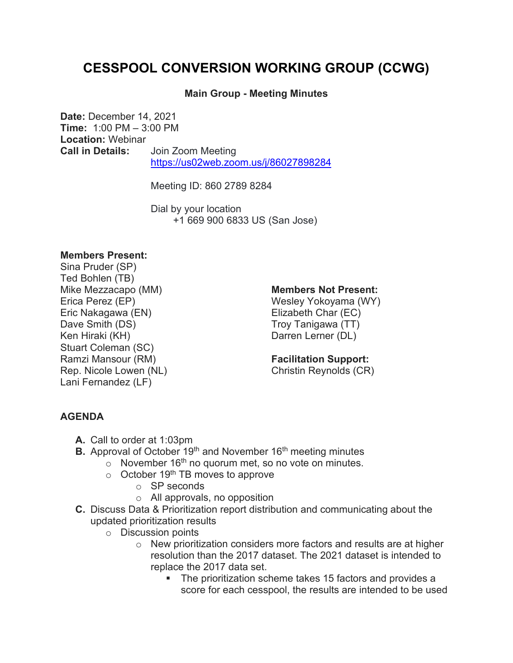# **CESSPOOL CONVERSION WORKING GROUP (CCWG)**

### **Main Group - Meeting Minutes**

**Date:** December 14, 2021 **Time:** 1:00 PM – 3:00 PM **Location:** Webinar **Call in Details:** Join Zoom Meeting <https://us02web.zoom.us/j/86027898284>

Meeting ID: 860 2789 8284

Dial by your location +1 669 900 6833 US (San Jose)

#### **Members Present:**

Sina Pruder (SP) Ted Bohlen (TB) Mike Mezzacapo (MM) Erica Perez (EP) Eric Nakagawa (EN) Dave Smith (DS) Ken Hiraki (KH) Stuart Coleman (SC) Ramzi Mansour (RM) Rep. Nicole Lowen (NL) Lani Fernandez (LF)

#### **Members Not Present:**

Wesley Yokoyama (WY) Elizabeth Char (EC) Troy Tanigawa (TT) Darren Lerner (DL)

# **Facilitation Support:**

Christin Reynolds (CR)

## **AGENDA**

- **A.** Call to order at 1:03pm
- **B.** Approval of October 19<sup>th</sup> and November 16<sup>th</sup> meeting minutes
	- $\circ$  November 16<sup>th</sup> no quorum met, so no vote on minutes.
		- $\circ$  October 19<sup>th</sup> TB moves to approve
			- o SP seconds
			- o All approvals, no opposition
- **C.** Discuss Data & Prioritization report distribution and communicating about the updated prioritization results
	- o Discussion points
		- o New prioritization considers more factors and results are at higher resolution than the 2017 dataset. The 2021 dataset is intended to replace the 2017 data set.
			- The prioritization scheme takes 15 factors and provides a score for each cesspool, the results are intended to be used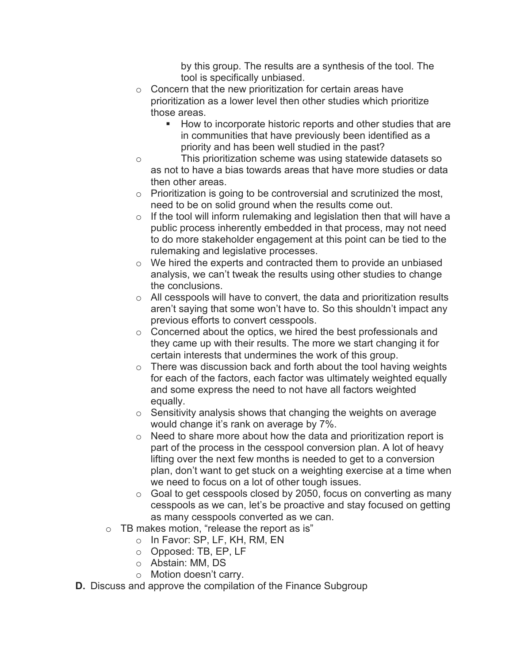by this group. The results are a synthesis of the tool. The tool is specifically unbiased.

- $\circ$  Concern that the new prioritization for certain areas have prioritization as a lower level then other studies which prioritize those areas.
	- **How to incorporate historic reports and other studies that are** in communities that have previously been identified as a priority and has been well studied in the past?
- o This prioritization scheme was using statewide datasets so as not to have a bias towards areas that have more studies or data then other areas.
- o Prioritization is going to be controversial and scrutinized the most, need to be on solid ground when the results come out.
- $\circ$  If the tool will inform rulemaking and legislation then that will have a public process inherently embedded in that process, may not need to do more stakeholder engagement at this point can be tied to the rulemaking and legislative processes.
- o We hired the experts and contracted them to provide an unbiased analysis, we can't tweak the results using other studies to change the conclusions.
- o All cesspools will have to convert, the data and prioritization results aren't saying that some won't have to. So this shouldn't impact any previous efforts to convert cesspools.
- o Concerned about the optics, we hired the best professionals and they came up with their results. The more we start changing it for certain interests that undermines the work of this group.
- $\circ$  There was discussion back and forth about the tool having weights for each of the factors, each factor was ultimately weighted equally and some express the need to not have all factors weighted equally.
- o Sensitivity analysis shows that changing the weights on average would change it's rank on average by 7%.
- o Need to share more about how the data and prioritization report is part of the process in the cesspool conversion plan. A lot of heavy lifting over the next few months is needed to get to a conversion plan, don't want to get stuck on a weighting exercise at a time when we need to focus on a lot of other tough issues.
- $\circ$  Goal to get cesspools closed by 2050, focus on converting as many cesspools as we can, let's be proactive and stay focused on getting as many cesspools converted as we can.
- o TB makes motion, "release the report as is"
	- o In Favor: SP, LF, KH, RM, EN
	- o Opposed: TB, EP, LF
	- o Abstain: MM, DS
	- o Motion doesn't carry.
- **D.** Discuss and approve the compilation of the Finance Subgroup